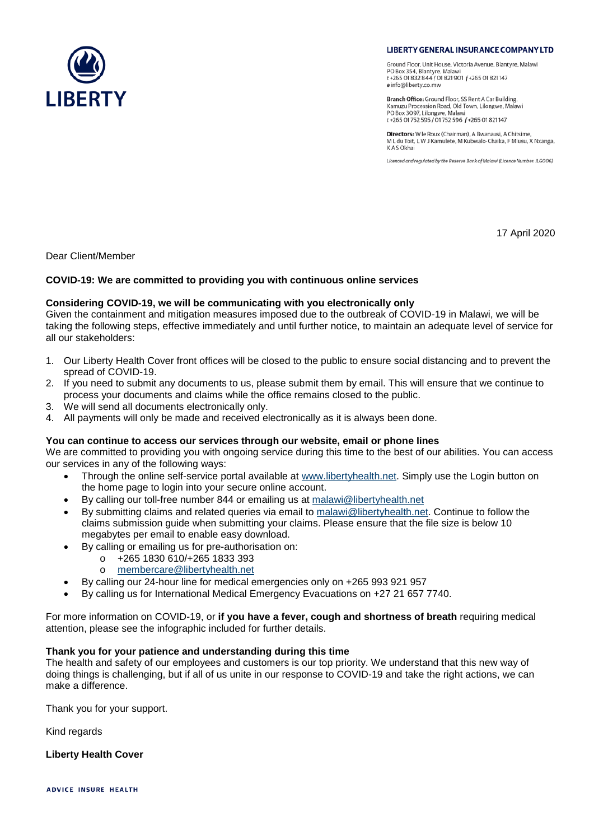

**LIBERTY GENERAL INSURANCE COMPANY LTD** 

Ground Floor, Unit House, Victoria Avenue, Blantyre, Malawi PO Box 354, Blantyre, Malawi t +265 01 832 844 / 01 821 901 f +265 01 821 147 e info@liberty.co.mw

Branch Office: Ground Floor, SS Rent A Car Building, Kamuzu Procession Road, Old Town, Lilongwe, Malawi<br>PO Box 3097, Lilongwe, Malawi t +265 01 752 595 / 01 752 596 f +265 01 821 147

Directors: W le Roux (Chairman), A Bwanausi, A Chitsime M L du Toit, L W J Kamulete, M Kubwalo-Chaika, F Mlusu, X Nxanga, K A S Okhai

Licenced and regulated by the Reserve Bank of Malawi (Licence Number: ILGO06)

17 April 2020

Dear Client/Member

# **COVID-19: We are committed to providing you with continuous online services**

# **Considering COVID-19, we will be communicating with you electronically only**

Given the containment and mitigation measures imposed due to the outbreak of COVID-19 in Malawi, we will be taking the following steps, effective immediately and until further notice, to maintain an adequate level of service for all our stakeholders:

- 1. Our Liberty Health Cover front offices will be closed to the public to ensure social distancing and to prevent the spread of COVID-19.
- 2. If you need to submit any documents to us, please submit them by email. This will ensure that we continue to process your documents and claims while the office remains closed to the public.
- 3. We will send all documents electronically only.
- 4. All payments will only be made and received electronically as it is always been done.

#### **You can continue to access our services through our website, email or phone lines**

We are committed to providing you with ongoing service during this time to the best of our abilities. You can access our services in any of the following ways:

- Through the online self-service portal available at [www.libertyhealth.net.](http://www.libertyhealth.net/) Simply use the Login button on the home page to login into your secure online account.
- By calling our toll-free number 844 or emailing us at malawi@libertyhealth.net
- By submitting claims and related queries via email to [malawi@libertyhealth.net.](mailto:malawi@libertyhealth.net) Continue to follow the claims submission guide when submitting your claims. Please ensure that the file size is below 10 megabytes per email to enable easy download.
- By calling or emailing us for pre-authorisation on:
	- o +265 1830 610/+265 1833 393
	- o [membercare@libertyhealth.net](mailto:membercare@libertyhealth.net)
- By calling our 24-hour line for medical emergencies only on +265 993 921 957
- By calling us for International Medical Emergency Evacuations on +27 21 657 7740.

For more information on COVID-19, or **if you have a fever, cough and shortness of breath** requiring medical attention, please see the infographic included for further details.

# **Thank you for your patience and understanding during this time**

The health and safety of our employees and customers is our top priority. We understand that this new way of doing things is challenging, but if all of us unite in our response to COVID-19 and take the right actions, we can make a difference.

Thank you for your support.

Kind regards

**Liberty Health Cover**